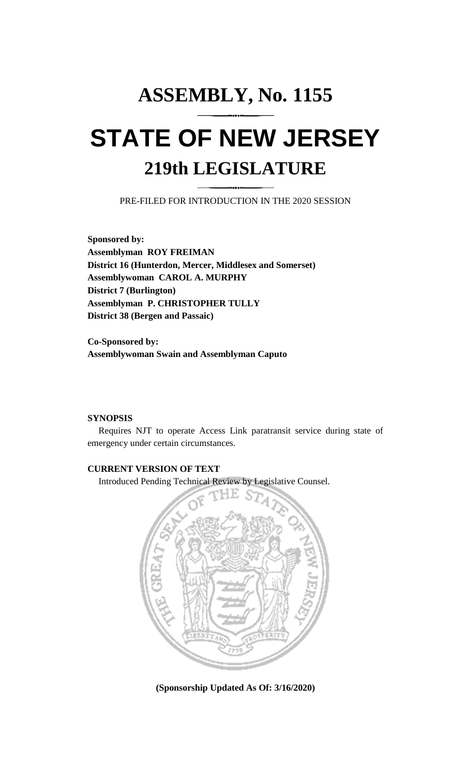## **ASSEMBLY, No. 1155 STATE OF NEW JERSEY 219th LEGISLATURE**

PRE-FILED FOR INTRODUCTION IN THE 2020 SESSION

**Sponsored by: Assemblyman ROY FREIMAN District 16 (Hunterdon, Mercer, Middlesex and Somerset) Assemblywoman CAROL A. MURPHY District 7 (Burlington) Assemblyman P. CHRISTOPHER TULLY District 38 (Bergen and Passaic)**

**Co-Sponsored by: Assemblywoman Swain and Assemblyman Caputo**

## **SYNOPSIS**

Requires NJT to operate Access Link paratransit service during state of emergency under certain circumstances.

## **CURRENT VERSION OF TEXT**

Introduced Pending Technical Review by Legislative Counsel.



**(Sponsorship Updated As Of: 3/16/2020)**